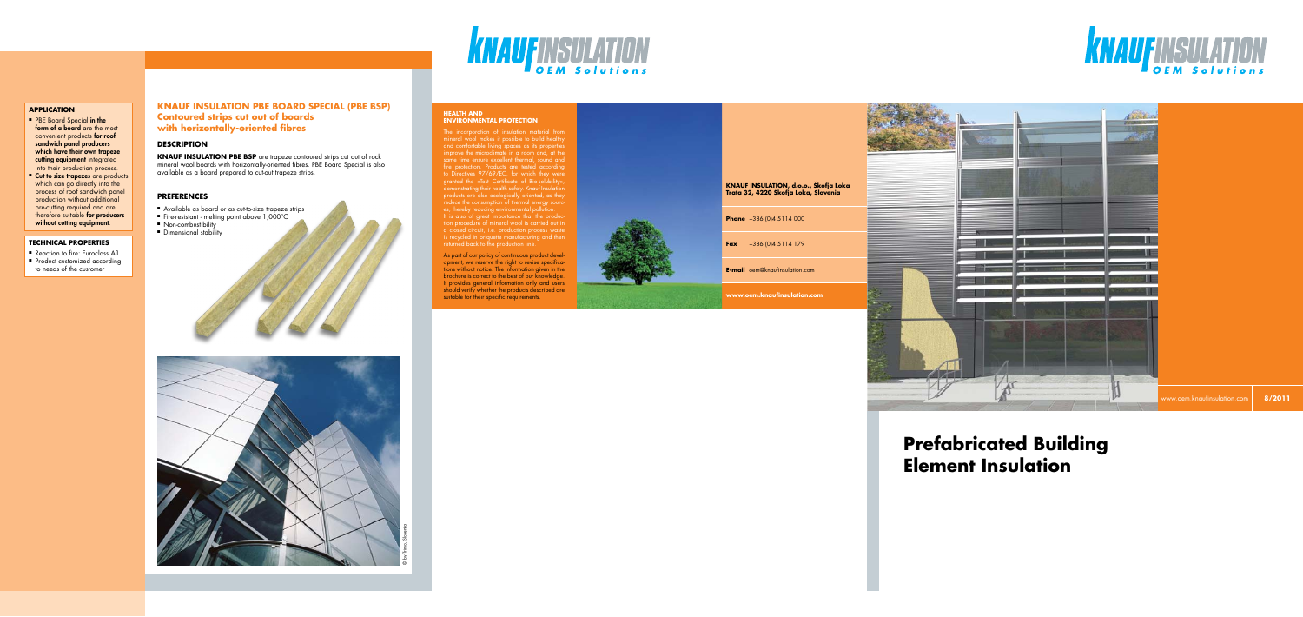#### **HEALTH AND ENVIRONMENTAL PROTECTION**

The incorporation of insulation material from mineral wool makes it possible to build healthy and comfortable living spaces as its properties improve the microclimate in a room and, at the same time ensure excellent thermal, sound and fire protection. Products are tested according to Directives 97/69/EC, for which they were granted the »Test Certificate of Bio-solubility«, demonstrating their health safely. Knauf Insulation products ore also ecologically oriented, as they reduce the consumption of thermal energy sources, thereby reducing environmental pollution.

**KNAUFINSULATION** 

As part of our policy of continuous product development, we reserve the right to revise specifications without notice. The information given in the brochure is correct to the best of our knowledge. It provides general information only and users should verify whether the products described are should verify whener the products described dre<br>suitable for their specific requirements.





**KNAUF INSULATION PBE BSP** are trapeze contoured strips cut out of rock mineral wool boards with horizontally-oriented fibres. PBE Board Special is also available as a board prepared to cut-out trapeze strips.

> It is also of great importance thai the production procedure of mineral wool is carried out in a closed circuit, i.e. production process waste is recycled in briquette manufacturing and then returned back to fhe production line.

- Available as board or as cut-to-size trapeze strips
- Fire-resistant melting point above  $1,000^{\circ}$ C
- Non-combustibility
- Dimensional stability

■ Reaction to fire: Euroclass A1 ■ Product customized according to needs of the customer

# **KNAUF INSULATION PBE BOARD SPECIAL (PBE BSP) Contoured strips cut out of boards with horizontally-oriented fibres**

#### **DESCRIPTION**

#### **Preferences**

# **Prefabricated Building Element Insulation**

#### **TECHNICAL PROPERTIES**

#### **Application**

- PBE Board Special in the form of a board are the most convenient products **for roof** sandwich panel producers which have their own trapeze cutting equipment integrated into their production process.
- Cut to size trapezes are products which can go directly into the process of roof sandwich panel production without additional pre-cutting required and are therefore suitable for producers without cutting equipment.